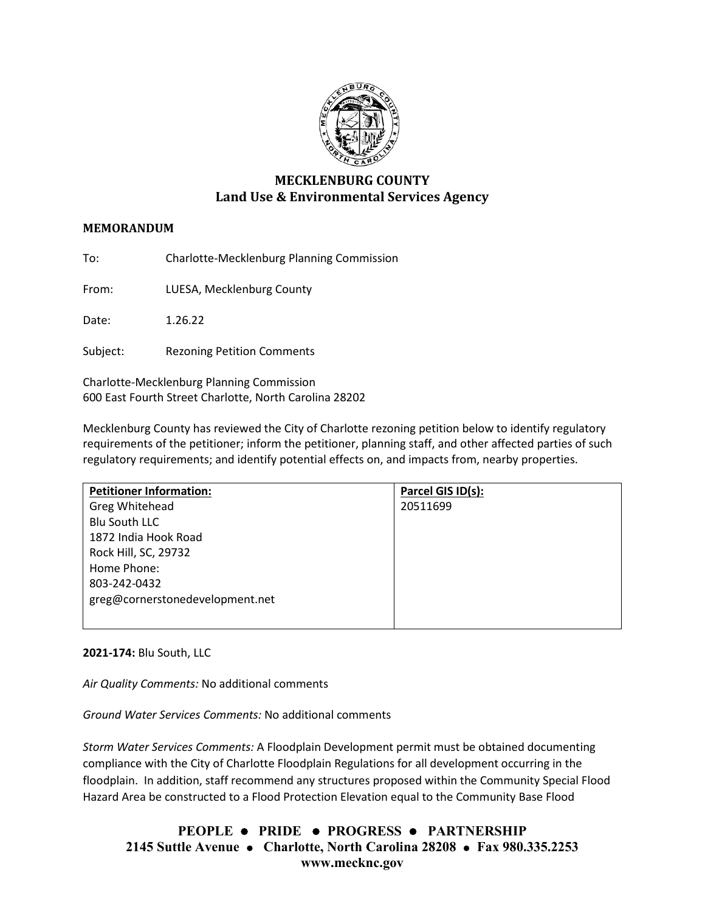

# **MECKLENBURG COUNTY Land Use & Environmental Services Agency**

# **MEMORANDUM**

To: Charlotte-Mecklenburg Planning Commission

From: LUESA, Mecklenburg County

Date: 1.26.22

Subject: Rezoning Petition Comments

Charlotte-Mecklenburg Planning Commission 600 East Fourth Street Charlotte, North Carolina 28202

Mecklenburg County has reviewed the City of Charlotte rezoning petition below to identify regulatory requirements of the petitioner; inform the petitioner, planning staff, and other affected parties of such regulatory requirements; and identify potential effects on, and impacts from, nearby properties.

| <b>Petitioner Information:</b>  | Parcel GIS ID(s): |
|---------------------------------|-------------------|
| Greg Whitehead                  | 20511699          |
| <b>Blu South LLC</b>            |                   |
| 1872 India Hook Road            |                   |
| Rock Hill, SC, 29732            |                   |
| Home Phone:                     |                   |
| 803-242-0432                    |                   |
| greg@cornerstonedevelopment.net |                   |
|                                 |                   |

## **2021-174:** Blu South, LLC

*Air Quality Comments:* No additional comments

*Ground Water Services Comments:* No additional comments

*Storm Water Services Comments:* A Floodplain Development permit must be obtained documenting compliance with the City of Charlotte Floodplain Regulations for all development occurring in the floodplain. In addition, staff recommend any structures proposed within the Community Special Flood Hazard Area be constructed to a Flood Protection Elevation equal to the Community Base Flood

**PEOPLE PRIDE PROGRESS PARTNERSHIP 2145 Suttle Avenue Charlotte, North Carolina 28208 Fax 980.335.2253 www.mecknc.gov**